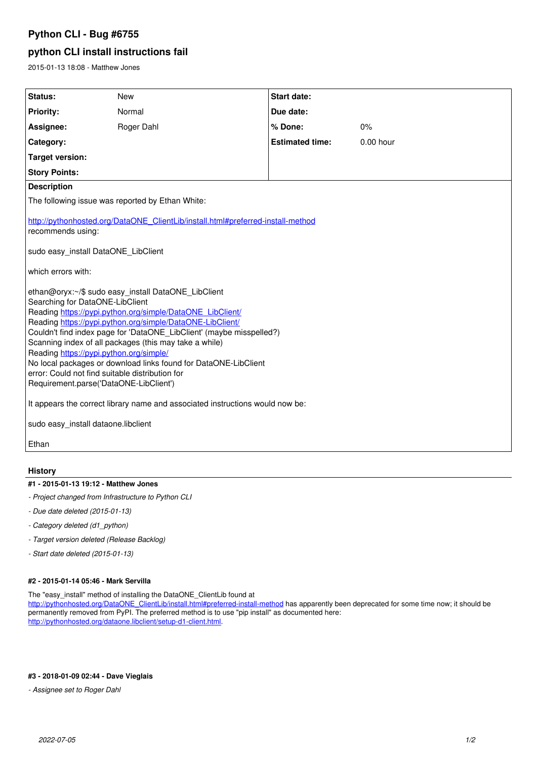# **Python CLI - Bug #6755**

## **python CLI install instructions fail**

2015-01-13 18:08 - Matthew Jones

| Status:                                                                                                                                                                                                                                                                                                                                                                                                                                                                                                                                                       | <b>New</b> | <b>Start date:</b>     |           |
|---------------------------------------------------------------------------------------------------------------------------------------------------------------------------------------------------------------------------------------------------------------------------------------------------------------------------------------------------------------------------------------------------------------------------------------------------------------------------------------------------------------------------------------------------------------|------------|------------------------|-----------|
| <b>Priority:</b>                                                                                                                                                                                                                                                                                                                                                                                                                                                                                                                                              | Normal     | Due date:              |           |
| Assignee:                                                                                                                                                                                                                                                                                                                                                                                                                                                                                                                                                     | Roger Dahl | % Done:                | 0%        |
| Category:                                                                                                                                                                                                                                                                                                                                                                                                                                                                                                                                                     |            | <b>Estimated time:</b> | 0.00 hour |
| <b>Target version:</b>                                                                                                                                                                                                                                                                                                                                                                                                                                                                                                                                        |            |                        |           |
| <b>Story Points:</b>                                                                                                                                                                                                                                                                                                                                                                                                                                                                                                                                          |            |                        |           |
| <b>Description</b>                                                                                                                                                                                                                                                                                                                                                                                                                                                                                                                                            |            |                        |           |
| The following issue was reported by Ethan White:                                                                                                                                                                                                                                                                                                                                                                                                                                                                                                              |            |                        |           |
| http://pythonhosted.org/DataONE_ClientLib/install.html#preferred-install-method<br>recommends using:<br>sudo easy install DataONE LibClient                                                                                                                                                                                                                                                                                                                                                                                                                   |            |                        |           |
|                                                                                                                                                                                                                                                                                                                                                                                                                                                                                                                                                               |            |                        |           |
| which errors with:                                                                                                                                                                                                                                                                                                                                                                                                                                                                                                                                            |            |                        |           |
| ethan@oryx:~/\$ sudo easy_install DataONE_LibClient<br>Searching for DataONE-LibClient<br>Reading https://pypi.python.org/simple/DataONE_LibClient/<br>Reading https://pypi.python.org/simple/DataONE-LibClient/<br>Couldn't find index page for 'DataONE LibClient' (maybe misspelled?)<br>Scanning index of all packages (this may take a while)<br>Reading https://pypi.python.org/simple/<br>No local packages or download links found for DataONE-LibClient<br>error: Could not find suitable distribution for<br>Requirement.parse('DataONE-LibClient') |            |                        |           |
| It appears the correct library name and associated instructions would now be:                                                                                                                                                                                                                                                                                                                                                                                                                                                                                 |            |                        |           |
| sudo easy_install dataone.libclient                                                                                                                                                                                                                                                                                                                                                                                                                                                                                                                           |            |                        |           |
| Ethan                                                                                                                                                                                                                                                                                                                                                                                                                                                                                                                                                         |            |                        |           |

#### **History**

#### **#1 - 2015-01-13 19:12 - Matthew Jones**

- *Project changed from Infrastructure to Python CLI*
- *Due date deleted (2015-01-13)*
- *Category deleted (d1\_python)*
- *Target version deleted (Release Backlog)*
- *Start date deleted (2015-01-13)*

#### **#2 - 2015-01-14 05:46 - Mark Servilla**

The "easy\_install" method of installing the DataONE\_ClientLib found at

[http://pythonhosted.org/DataONE\\_ClientLib/install.html#preferred-install-method](http://pythonhosted.org/DataONE_ClientLib/install.html#preferred-install-method) has apparently been deprecated for some time now; it should be permanently removed from PyPI. The preferred method is to use "pip install" as documented here: <http://pythonhosted.org/dataone.libclient/setup-d1-client.html>.

### **#3 - 2018-01-09 02:44 - Dave Vieglais**

*- Assignee set to Roger Dahl*